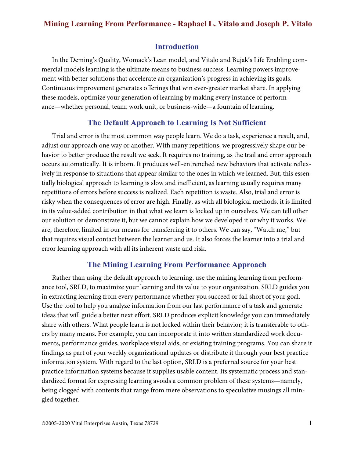### **Introduction**

In the Deming's Quality, Womack's Lean model, and Vitalo and Bujak's Life Enabling commercial models learning is the ultimate means to business success. Learning powers improvement with better solutions that accelerate an organization's progress in achieving its goals. Continuous improvement generates offerings that win ever-greater market share. In applying these models, optimize your generation of learning by making every instance of performance—whether personal, team, work unit, or business-wide—a fountain of learning.

### **The Default Approach to Learning Is Not Sufficient**

Trial and error is the most common way people learn. We do a task, experience a result, and, adjust our approach one way or another. With many repetitions, we progressively shape our behavior to better produce the result we seek. It requires no training, as the trail and error approach occurs automatically. It is inborn. It produces well-entrenched new behaviors that activate reflexively in response to situations that appear similar to the ones in which we learned. But, this essentially biological approach to learning is slow and inefficient, as learning usually requires many repetitions of errors before success is realized. Each repetition is waste. Also, trial and error is risky when the consequences of error are high. Finally, as with all biological methods, it is limited in its value-added contribution in that what we learn is locked up in ourselves. We can tell other our solution or demonstrate it, but we cannot explain how we developed it or why it works. We are, therefore, limited in our means for transferring it to others. We can say, "Watch me," but that requires visual contact between the learner and us. It also forces the learner into a trial and error learning approach with all its inherent waste and risk.

### **The Mining Learning From Performance Approach**

Rather than using the default approach to learning, use the mining learning from performance tool, SRLD, to maximize your learning and its value to your organization. SRLD guides you in extracting learning from every performance whether you succeed or fall short of your goal. Use the tool to help you analyze information from our last performance of a task and generate ideas that will guide a better next effort. SRLD produces explicit knowledge you can immediately share with others. What people learn is not locked within their behavior; it is transferable to others by many means. For example, you can incorporate it into written standardized work documents, performance guides, workplace visual aids, or existing training programs. You can share it findings as part of your weekly organizational updates or distribute it through your best practice information system. With regard to the last option, SRLD is a preferred source for your best practice information systems because it supplies usable content. Its systematic process and standardized format for expressing learning avoids a common problem of these systems—namely, being clogged with contents that range from mere observations to speculative musings all mingled together.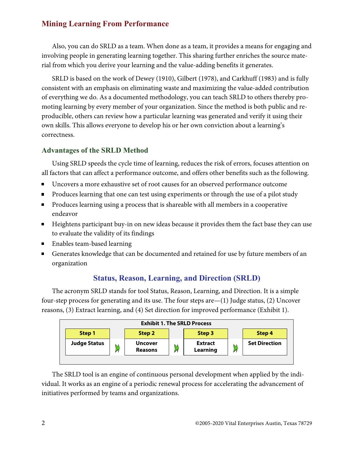Also, you can do SRLD as a team. When done as a team, it provides a means for engaging and involving people in generating learning together. This sharing further enriches the source material from which you derive your learning and the value-adding benefits it generates.

SRLD is based on the work of Dewey (1910), Gilbert (1978), and Carkhuff (1983) and is fully consistent with an emphasis on eliminating waste and maximizing the value-added contribution of everything we do. As a documented methodology, you can teach SRLD to others thereby promoting learning by every member of your organization. Since the method is both public and reproducible, others can review how a particular learning was generated and verify it using their own skills. This allows everyone to develop his or her own conviction about a learning's correctness.

# **Advantages of the SRLD Method**

Using SRLD speeds the cycle time of learning, reduces the risk of errors, focuses attention on all factors that can affect a performance outcome, and offers other benefits such as the following.

- Uncovers a more exhaustive set of root causes for an observed performance outcome  $\blacksquare$
- Produces learning that one can test using experiments or through the use of a pilot study  $\blacksquare$
- Produces learning using a process that is shareable with all members in a cooperative endeavor
- Heightens participant buy-in on new ideas because it provides them the fact base they can use to evaluate the validity of its findings
- Enables team-based learning
- Generates knowledge that can be documented and retained for use by future members of an  $\blacksquare$ organization

# **Status, Reason, Learning, and Direction (SRLD)**

The acronym SRLD stands for tool Status, Reason, Learning, and Direction. It is a simple four-step process for generating and its use. The four steps are—(1) Judge status, (2) Uncover reasons, (3) Extract learning, and (4) Set direction for improved performance (Exhibit 1).



The SRLD tool is an engine of continuous personal development when applied by the individual. It works as an engine of a periodic renewal process for accelerating the advancement of initiatives performed by teams and organizations.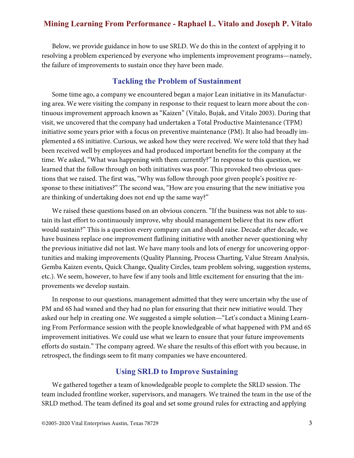Below, we provide guidance in how to use SRLD. We do this in the context of applying it to resolving a problem experienced by everyone who implements improvement programs—namely, the failure of improvements to sustain once they have been made.

### **Tackling the Problem of Sustainment**

Some time ago, a company we encountered began a major Lean initiative in its Manufacturing area. We were visiting the company in response to their request to learn more about the continuous improvement approach known as "Kaizen" (Vitalo, Bujak, and Vitalo 2003). During that visit, we uncovered that the company had undertaken a Total Productive Maintenance (TPM) initiative some years prior with a focus on preventive maintenance (PM). It also had broadly implemented a 6S initiative. Curious, we asked how they were received. We were told that they had been received well by employees and had produced important benefits for the company at the time. We asked, "What was happening with them currently?" In response to this question, we learned that the follow through on both initiatives was poor. This provoked two obvious questions that we raised. The first was, "Why was follow through poor given people's positive response to these initiatives?" The second was, "How are you ensuring that the new initiative you are thinking of undertaking does not end up the same way?"

We raised these questions based on an obvious concern. "If the business was not able to sustain its last effort to continuously improve, why should management believe that its new effort would sustain?" This is a question every company can and should raise. Decade after decade, we have business replace one improvement flatlining initiative with another never questioning why the previous initiative did not last. We have many tools and lots of energy for uncovering opportunities and making improvements (Quality Planning, Process Charting, Value Stream Analysis, Gemba Kaizen events, Quick Change, Quality Circles, team problem solving, suggestion systems, etc.). We seem, however, to have few if any tools and little excitement for ensuring that the improvements we develop sustain.

In response to our questions, management admitted that they were uncertain why the use of PM and 6S had waned and they had no plan for ensuring that their new initiative would. They asked our help in creating one. We suggested a simple solution—"Let's conduct a Mining Learning From Performance session with the people knowledgeable of what happened with PM and 6S improvement initiatives. We could use what we learn to ensure that your future improvements efforts do sustain." The company agreed. We share the results of this effort with you because, in retrospect, the findings seem to fit many companies we have encountered.

# **Using SRLD to Improve Sustaining**

We gathered together a team of knowledgeable people to complete the SRLD session. The team included frontline worker, supervisors, and managers. We trained the team in the use of the SRLD method. The team defined its goal and set some ground rules for extracting and applying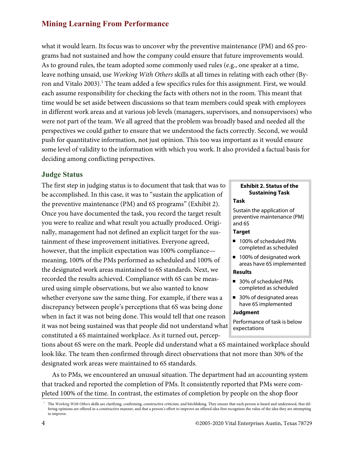what it would learn. Its focus was to uncover why the preventive maintenance (PM) and 6S programs had not sustained and how the company could ensure that future improvements would. As to ground rules, the team adopted some commonly used rules (e.g., one speaker at a time, leave nothing unsaid, use Working With Others skills at all times in relating with each other (Byron and Vitalo 2003). $^{\rm l}$  The team added a few specifics rules for this assignment. First, we would each assume responsibility for checking the facts with others not in the room. This meant that time would be set aside between discussions so that team members could speak with employees in different work areas and at various job levels (managers, supervisors, and nonsupervisors) who were not part of the team. We all agreed that the problem was broadly based and needed all the perspectives we could gather to ensure that we understood the facts correctly. Second, we would push for quantitative information, not just opinion. This too was important as it would ensure some level of validity to the information with which you work. It also provided a factual basis for deciding among conflicting perspectives.

### **Judge Status**

The first step in judging status is to document that task that was to be accomplished. In this case, it was to "sustain the application of the preventive maintenance (PM) and 6S programs" (Exhibit 2). Once you have documented the task, you record the target result you were to realize and what result you actually produced. Originally, management had not defined an explicit target for the sustainment of these improvement initiatives. Everyone agreed, however, that the implicit expectation was 100% compliance meaning, 100% of the PMs performed as scheduled and 100% of the designated work areas maintained to 6S standards. Next, we recorded the results achieved. Compliance with 6S can be measured using simple observations, but we also wanted to know whether everyone saw the same thing. For example, if there was a discrepancy between people's perceptions that 6S was being done when in fact it was not being done. This would tell that one reason it was not being sustained was that people did not understand what constituted a 6S maintained workplace. As it turned out, percep-

### **Exhibit 2. Status of the Sustaining Task**

#### **Task**

Sustain the application of preventive maintenance (PM) and 6S

#### **Target**

- 100% of scheduled PMs completed as scheduled
- 100% of designated work areas have 6S implemented

### **Results**

- 30% of scheduled PMs completed as scheduled
- 30% of designated areas have 6S implemented

#### **Judgment**

Performance of task is below expectations

tions about 6S were on the mark. People did understand what a 6S maintained workplace should look like. The team then confirmed through direct observations that not more than 30% of the designated work areas were maintained to 6S standards.

As to PMs, we encountered an unusual situation. The department had an accounting system that tracked and reported the completion of PMs. It consistently reported that PMs were completed 100% of the time. In contrast, the estimates of completion by people on the shop floor

The Working With Others skills are clarifying, confirming, constructive criticism, and hitchhiking. They ensure that each person is heard and understood, that differing opinions are offered in a constructive manner, and that a person's effort to improve an offered idea first recognizes the value of the idea they are attempting to improve.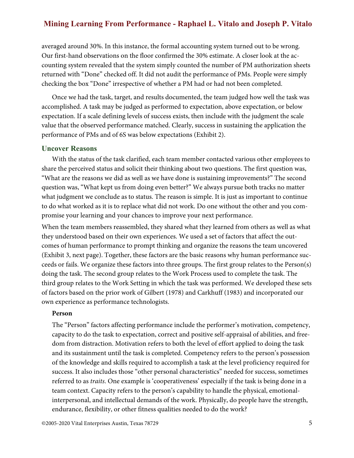averaged around 30%. In this instance, the formal accounting system turned out to be wrong. Our first-hand observations on the floor confirmed the 30% estimate. A closer look at the accounting system revealed that the system simply counted the number of PM authorization sheets returned with "Done" checked off. It did not audit the performance of PMs. People were simply checking the box "Done" irrespective of whether a PM had or had not been completed.

Once we had the task, target, and results documented, the team judged how well the task was accomplished. A task may be judged as performed to expectation, above expectation, or below expectation. If a scale defining levels of success exists, then include with the judgment the scale value that the observed performance matched. Clearly, success in sustaining the application the performance of PMs and of 6S was below expectations (Exhibit 2).

#### **Uncover Reasons**

With the status of the task clarified, each team member contacted various other employees to share the perceived status and solicit their thinking about two questions. The first question was, "What are the reasons we did as well as we have done is sustaining improvements?" The second question was, "What kept us from doing even better?" We always pursue both tracks no matter what judgment we conclude as to status. The reason is simple. It is just as important to continue to do what worked as it is to replace what did not work. Do one without the other and you compromise your learning and your chances to improve your next performance.

When the team members reassembled, they shared what they learned from others as well as what they understood based on their own experiences. We used a set of factors that affect the outcomes of human performance to prompt thinking and organize the reasons the team uncovered (Exhibit 3, next page). Together, these factors are the basic reasons why human performance succeeds or fails. We organize these factors into three groups. The first group relates to the Person(s) doing the task. The second group relates to the Work Process used to complete the task. The third group relates to the Work Setting in which the task was performed. We developed these sets of factors based on the prior work of Gilbert (1978) and Carkhuff (1983) and incorporated our own experience as performance technologists.

#### **Person**

The "Person" factors affecting performance include the performer's motivation, competency, capacity to do the task to expectation, correct and positive self-appraisal of abilities, and freedom from distraction. Motivation refers to both the level of effort applied to doing the task and its sustainment until the task is completed. Competency refers to the person's possession of the knowledge and skills required to accomplish a task at the level proficiency required for success. It also includes those "other personal characteristics" needed for success, sometimes referred to as *traits*. One example is 'cooperativeness' especially if the task is being done in a team context. Capacity refers to the person's capability to handle the physical, emotionalinterpersonal, and intellectual demands of the work. Physically, do people have the strength, endurance, flexibility, or other fitness qualities needed to do the work?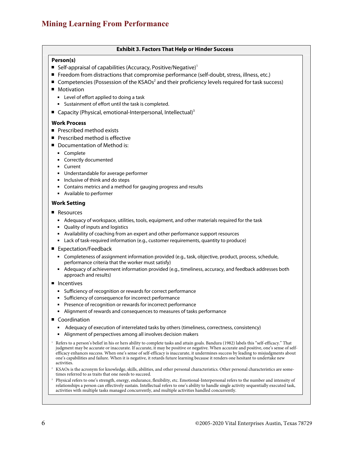#### **Exhibit 3. Factors That Help or Hinder Success**

#### **Person(s)**

- Self-appraisal of capabilities (Accuracy, Positive/Negative)<sup>1</sup>
- Freedom from distractions that compromise performance (self-doubt, stress, illness, etc.)
- Competencies (Possession of the KSAOs<sup>2</sup> and their proficiency levels required for task success)
- **Motivation** 
	- Level of effort applied to doing a task
	- **Sustainment of effort until the task is completed.**
- Gapacity (Physical, emotional-Interpersonal, Intellectual)<sup>3</sup>

#### **Work Process**

- Prescribed method exists
- **Prescribed method is effective**
- Documentation of Method is:
	- **Complete**
	- Correctly documented
	- **Current**
	- Understandable for average performer
	- **Inclusive of think and do steps**
	- Contains metrics and a method for gauging progress and results
	- Available to performer

#### **Work Setting**

- Resources
	- Adequacy of workspace, utilities, tools, equipment, and other materials required for the task
	- Quality of inputs and logistics
	- Availability of coaching from an expert and other performance support resources
	- Lack of task-required information (e.g., customer requirements, quantity to produce)
- Expectation/Feedback
	- Completeness of assignment information provided (e.g., task, objective, product, process, schedule, performance criteria that the worker must satisfy)
	- Adequacy of achievement information provided (e.g., timeliness, accuracy, and feedback addresses both approach and results)
- **Incentives** 
	- Sufficiency of recognition or rewards for correct performance
	- Sufficiency of consequence for incorrect performance
	- **Presence of recognition or rewards for incorrect performance**
	- Alignment of rewards and consequences to measures of tasks performance
- Coordination
	- **Adequacy of execution of interrelated tasks by others (timeliness, correctness, consistency)**
	- Alignment of perspectives among all involves decision makers

<sup>1</sup> Refers to a person's belief in his or hers ability to complete tasks and attain goals. Bandura (1982) labels this "self-efficacy." That judgment may be accurate or inaccurate. If accurate, it may be positive or negative. When accurate and positive, one's sense of selfefficacy enhances success. When one's sense of self-efficacy is inaccurate, it undermines success by leading to misjudgments about one's capabilities and failure. When it is negative, it retards future learning because it renders one hesitant to undertake new activities.

- <sup>2</sup> KSAOs is the acronym for knowledge, skills, abilities, and other personal characteristics. Other personal characteristics are sometimes referred to as traits that one needs to succeed.
- <sup>3</sup> Physical refers to one's strength, energy, endurance, flexibility, etc. Emotional-Interpersonal refers to the number and intensity of relationships a person can effectively sustain. Intellectual refers to one's ability to handle single activity sequentially executed task, activities with multiple tasks managed concurrently, and multiple activities handled concurrently.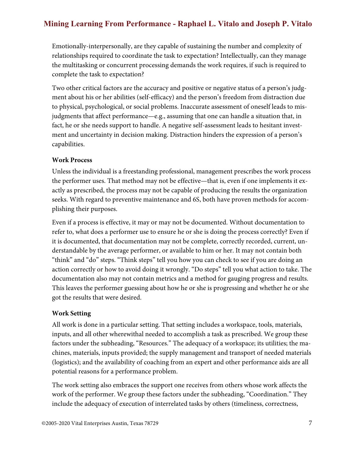Emotionally-interpersonally, are they capable of sustaining the number and complexity of relationships required to coordinate the task to expectation? Intellectually, can they manage the multitasking or concurrent processing demands the work requires, if such is required to complete the task to expectation?

Two other critical factors are the accuracy and positive or negative status of a person's judgment about his or her abilities (self-efficacy) and the person's freedom from distraction due to physical, psychological, or social problems. Inaccurate assessment of oneself leads to misjudgments that affect performance—e.g., assuming that one can handle a situation that, in fact, he or she needs support to handle. A negative self-assessment leads to hesitant investment and uncertainty in decision making. Distraction hinders the expression of a person's capabilities.

### **Work Process**

Unless the individual is a freestanding professional, management prescribes the work process the performer uses. That method may not be effective—that is, even if one implements it exactly as prescribed, the process may not be capable of producing the results the organization seeks. With regard to preventive maintenance and 6S, both have proven methods for accomplishing their purposes.

Even if a process is effective, it may or may not be documented. Without documentation to refer to, what does a performer use to ensure he or she is doing the process correctly? Even if it is documented, that documentation may not be complete, correctly recorded, current, understandable by the average performer, or available to him or her. It may not contain both "think" and "do" steps. "Think steps" tell you how you can check to see if you are doing an action correctly or how to avoid doing it wrongly. "Do steps" tell you what action to take. The documentation also may not contain metrics and a method for gauging progress and results. This leaves the performer guessing about how he or she is progressing and whether he or she got the results that were desired.

## **Work Setting**

All work is done in a particular setting. That setting includes a workspace, tools, materials, inputs, and all other wherewithal needed to accomplish a task as prescribed. We group these factors under the subheading, "Resources." The adequacy of a workspace; its utilities; the machines, materials, inputs provided; the supply management and transport of needed materials (logistics); and the availability of coaching from an expert and other performance aids are all potential reasons for a performance problem.

The work setting also embraces the support one receives from others whose work affects the work of the performer. We group these factors under the subheading, "Coordination." They include the adequacy of execution of interrelated tasks by others (timeliness, correctness,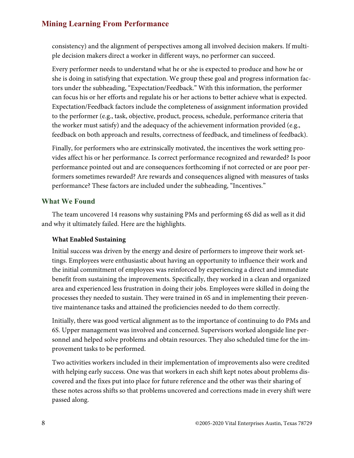consistency) and the alignment of perspectives among all involved decision makers. If multiple decision makers direct a worker in different ways, no performer can succeed.

Every performer needs to understand what he or she is expected to produce and how he or she is doing in satisfying that expectation. We group these goal and progress information factors under the subheading, "Expectation/Feedback." With this information, the performer can focus his or her efforts and regulate his or her actions to better achieve what is expected. Expectation/Feedback factors include the completeness of assignment information provided to the performer (e.g., task, objective, product, process, schedule, performance criteria that the worker must satisfy) and the adequacy of the achievement information provided (e.g., feedback on both approach and results, correctness of feedback, and timeliness of feedback).

Finally, for performers who are extrinsically motivated, the incentives the work setting provides affect his or her performance. Is correct performance recognized and rewarded? Is poor performance pointed out and are consequences forthcoming if not corrected or are poor performers sometimes rewarded? Are rewards and consequences aligned with measures of tasks performance? These factors are included under the subheading, "Incentives."

### **What We Found**

The team uncovered 14 reasons why sustaining PMs and performing 6S did as well as it did and why it ultimately failed. Here are the highlights.

### **What Enabled Sustaining**

Initial success was driven by the energy and desire of performers to improve their work settings. Employees were enthusiastic about having an opportunity to influence their work and the initial commitment of employees was reinforced by experiencing a direct and immediate benefit from sustaining the improvements. Specifically, they worked in a clean and organized area and experienced less frustration in doing their jobs. Employees were skilled in doing the processes they needed to sustain. They were trained in 6S and in implementing their preventive maintenance tasks and attained the proficiencies needed to do them correctly.

Initially, there was good vertical alignment as to the importance of continuing to do PMs and 6S. Upper management was involved and concerned. Supervisors worked alongside line personnel and helped solve problems and obtain resources. They also scheduled time for the improvement tasks to be performed.

Two activities workers included in their implementation of improvements also were credited with helping early success. One was that workers in each shift kept notes about problems discovered and the fixes put into place for future reference and the other was their sharing of these notes across shifts so that problems uncovered and corrections made in every shift were passed along.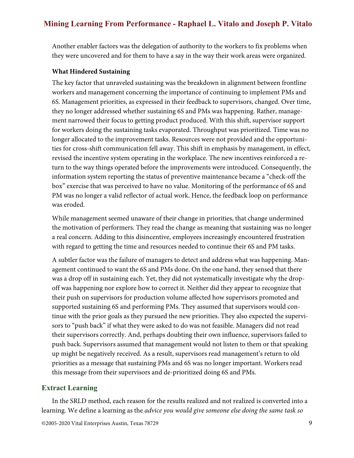Another enabler factors was the delegation of authority to the workers to fix problems when they were uncovered and for them to have a say in the way their work areas were organized.

#### **What Hindered Sustaining**

The key factor that unraveled sustaining was the breakdown in alignment between frontline workers and management concerning the importance of continuing to implement PMs and 6S. Management priorities, as expressed in their feedback to supervisors, changed. Over time, they no longer addressed whether sustaining 6S and PMs was happening. Rather, management narrowed their focus to getting product produced. With this shift, supervisor support for workers doing the sustaining tasks evaporated. Throughput was prioritized. Time was no longer allocated to the improvement tasks. Resources were not provided and the opportunities for cross-shift communication fell away. This shift in emphasis by management, in effect, revised the incentive system operating in the workplace. The new incentives reinforced a return to the way things operated before the improvements were introduced. Consequently, the information system reporting the status of preventive maintenance became a "check-off the box" exercise that was perceived to have no value. Monitoring of the performance of 6S and PM was no longer a valid reflector of actual work. Hence, the feedback loop on performance was eroded.

While management seemed unaware of their change in priorities, that change undermined the motivation of performers. They read the change as meaning that sustaining was no longer a real concern. Adding to this disincentive, employees increasingly encountered frustration with regard to getting the time and resources needed to continue their 6S and PM tasks.

A subtler factor was the failure of managers to detect and address what was happening. Management continued to want the 6S and PMs done. On the one hand, they sensed that there was a drop off in sustaining each. Yet, they did not systematically investigate why the dropoff was happening nor explore how to correct it. Neither did they appear to recognize that their push on supervisors for production volume affected how supervisors promoted and supported sustaining 6S and performing PMs. They assumed that supervisors would continue with the prior goals as they pursued the new priorities. They also expected the supervisors to "push back" if what they were asked to do was not feasible. Managers did not read their supervisors correctly. And, perhaps doubting their own influence, supervisors failed to push back. Supervisors assumed that management would not listen to them or that speaking up might be negatively received. As a result, supervisors read management's return to old priorities as a message that sustaining PMs and 6S was no longer important. Workers read this message from their supervisors and de-prioritized doing 6S and PMs.

### **Extract Learning**

In the SRLD method, each reason for the results realized and not realized is converted into a learning. We define a learning as the advice you would give someone else doing the same task so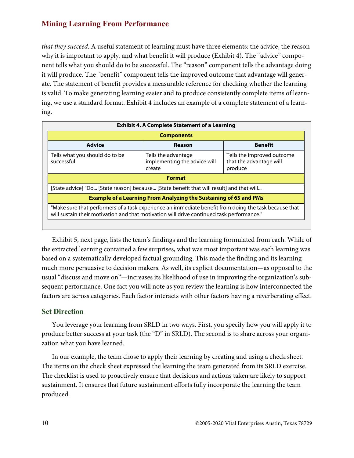that they succeed. A useful statement of learning must have three elements: the advice, the reason why it is important to apply, and what benefit it will produce (Exhibit 4). The "advice" component tells what you should do to be successful. The "reason" component tells the advantage doing it will produce. The "benefit" component tells the improved outcome that advantage will generate. The statement of benefit provides a measurable reference for checking whether the learning is valid. To make generating learning easier and to produce consistently complete items of learning, we use a standard format. Exhibit 4 includes an example of a complete statement of a learning.

| <b>Exhibit 4. A Complete Statement of a Learning</b>                                                                                                                                               |                                                               |                                                                  |
|----------------------------------------------------------------------------------------------------------------------------------------------------------------------------------------------------|---------------------------------------------------------------|------------------------------------------------------------------|
| <b>Components</b>                                                                                                                                                                                  |                                                               |                                                                  |
| <b>Advice</b>                                                                                                                                                                                      | <b>Reason</b>                                                 | <b>Benefit</b>                                                   |
| Tells what you should do to be<br>successful                                                                                                                                                       | Tells the advantage<br>implementing the advice will<br>create | Tells the improved outcome<br>that the advantage will<br>produce |
| <b>Format</b>                                                                                                                                                                                      |                                                               |                                                                  |
| [State advice] "Do [State reason] because [State benefit that will result] and that will                                                                                                           |                                                               |                                                                  |
| <b>Example of a Learning From Analyzing the Sustaining of 6S and PMs</b>                                                                                                                           |                                                               |                                                                  |
| "Make sure that performers of a task experience an immediate benefit from doing the task because that<br>will sustain their motivation and that motivation will drive continued task performance." |                                                               |                                                                  |

Exhibit 5, next page, lists the team's findings and the learning formulated from each. While of the extracted learning contained a few surprises, what was most important was each learning was based on a systematically developed factual grounding. This made the finding and its learning much more persuasive to decision makers. As well, its explicit documentation—as opposed to the usual "discuss and move on"—increases its likelihood of use in improving the organization's subsequent performance. One fact you will note as you review the learning is how interconnected the factors are across categories. Each factor interacts with other factors having a reverberating effect.

## **Set Direction**

You leverage your learning from SRLD in two ways. First, you specify how you will apply it to produce better success at your task (the "D" in SRLD). The second is to share across your organization what you have learned.

In our example, the team chose to apply their learning by creating and using a check sheet. The items on the check sheet expressed the learning the team generated from its SRLD exercise. The checklist is used to proactively ensure that decisions and actions taken are likely to support sustainment. It ensures that future sustainment efforts fully incorporate the learning the team produced.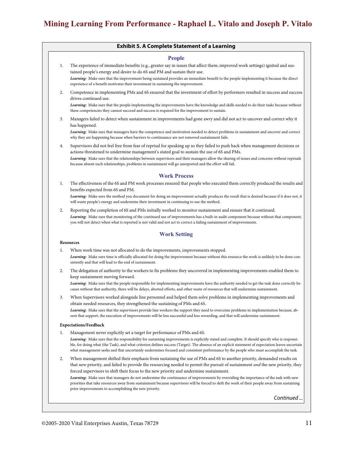#### **Exhibit 5. A Complete Statement of a Learning**

#### **People**

1. The experience of immediate benefits (e.g., greater say in issues that affect them; improved work settings) ignited and sustained people's energy and desire to do 6S and PM and sustain their use.

*Learning:* Make sure that the improvement being sustained provides an immediate benefit to the people implementing it because the direct experience of a benefit motivates their investment in sustaining the improvement.

2. Competence in implementing PMs and 6S ensured that the investment of effort by performers resulted in success and success drives continued use.

*Learning:* Make sure that the people implementing the improvements have the knowledge and skills needed to do their tasks because without these competencies they cannot succeed and success is required for the improvement to sustain.

3. Managers failed to detect when sustainment in improvements had gone awry and did not act to uncover and correct why it has happened.

*Learning:* Make sure that managers have the competence and motivation needed to detect problems in sustainment and uncover and correct why they are happening because when barriers to continuance are not removed sustainment fails.

4. Supervisors did not feel free from fear of reprisal for speaking up so they failed to push back when management decisions or actions threatened to undermine management's stated goal to sustain the use of 6S and PMs. *Learning:* Make sure that the relationships between supervisors and their managers allow the sharing of issues and concerns without reprisals because absent such relationships, problems in sustainment will go unreported and the effort will fail.

#### **Work Process**

1. The effectiveness of the 6S and PM work processes ensured that people who executed them correctly produced the results and benefits expected from 6S and PM.

*Learning:* Make sure the method you document for doing an improvement actually produces the result that is desired because if it does not, it will waste people's energy and undermine their investment in continuing to use the method.

2. Reporting the completion of 6S and PMs initially worked to monitor sustainment and ensure that it continued. *Learning:* Make sure that monitoring of the continued use of improvements has a built-in audit component because without that component, you will not detect when what is reported is not valid and not act to correct a failing sustainment of improvements.

#### **Work Setting**

#### **Resources**

- 1. When work time was not allocated to do the improvements, improvements stopped. *Learning:* Make sure time is officially allocated for doing the improvement because without this resource the work is unlikely to be done consistently and that will lead to the end of sustainment.
- 2. The delegation of authority to the workers to fix problems they uncovered in implementing improvements enabled them to keep sustainment moving forward.

*Learning:* Make sure that the people responsible for implementing improvements have the authority needed to get the task done correctly because without that authority, there will be delays, aborted efforts, and other waste of resources that will undermine sustainment.

3. When Supervisors worked alongside line personnel and helped them solve problems in implementing improvements and obtain needed resources, they strengthened the sustaining of PMs and 6S. *Learning:* Make sure that the supervisors provide line workers the support they need to overcome problems in implementation because, absent that support, the execution of improvements will be less successful and less rewarding, and that will undermine sustainment.

#### **Expectations/Feedback**

Management never explicitly set a target for performance of PMs and 6S.

Learning: Make sure that the responsibility for sustaining improvements is explicitly stated and complete. It should specify who is responsible, for doing what (the Task), and what criterion defines success (Target). The absence of an explicit statement of expectation leaves uncertain what management seeks and that uncertainly undermines focused and consistent performance by the people who must accomplish the task.

2. When management shifted their emphasis from sustaining the use of PMs and 6S to another priority, demanded results on that new priority, and failed to provide the resourcing needed to permit the pursuit of sustainment and the new priority, they forced supervisors to shift their focus to the new priority and undermine sustainment.

*Learning:* Make sure that managers do not undermine the continuance of improvements by overriding the importance of the task with new priorities that take resources away from sustainment because supervisors will be forced to shift the work of their people away from sustaining prior improvements to accomplishing the new priority.

Continued ...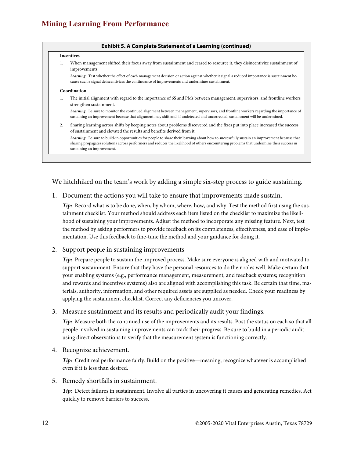#### **Exhibit 5. A Complete Statement of a Learning (continued)**

#### **Incentives**

1. When management shifted their focus away from sustainment and ceased to resource it, they disincentivize sustainment of improvements.

*Learning:* Test whether the effect of each management decision or action against whether it signal a reduced importance is sustainment because such a signal deincentivizes the continuance of improvements and undermines sustainment.

#### **Coordination**

1. The initial alignment with regard to the importance of 6S and PMs between management, supervisors, and frontline workers strengthen sustainment.

*Learning:* Be sure to monitor the continued alignment between management, supervisors, and frontline workers regarding the importance of sustaining an improvement because that alignment may shift and, if undetected and uncorrected, sustainment will be undermined.

2. Sharing learning across shifts by keeping notes about problems discovered and the fixes put into place increased the success of sustainment and elevated the results and benefits derived from it.

*Learning:* Be sure to build-in opportunities for people to share their learning about how to successfully sustain an improvement because that sharing propagates solutions across performers and reduces the likelihood of others encountering problems that undermine their success in sustaining an improvement.

We hitchhiked on the team's work by adding a simple six-step process to guide sustaining.

1. Document the actions you will take to ensure that improvements made sustain.

*Tip:* Record what is to be done, when, by whom, where, how, and why. Test the method first using the sustainment checklist. Your method should address each item listed on the checklist to maximize the likelihood of sustaining your improvements. Adjust the method to incorporate any missing feature. Next, test the method by asking performers to provide feedback on its completeness, effectiveness, and ease of implementation. Use this feedback to fine-tune the method and your guidance for doing it.

#### 2. Support people in sustaining improvements

*Tip:* Prepare people to sustain the improved process. Make sure everyone is aligned with and motivated to support sustainment. Ensure that they have the personal resources to do their roles well. Make certain that your enabling systems (e.g., performance management, measurement, and feedback systems; recognition and rewards and incentives systems) also are aligned with accomplishing this task. Be certain that time, materials, authority, information, and other required assets are supplied as needed. Check your readiness by applying the sustainment checklist. Correct any deficiencies you uncover.

#### 3. Measure sustainment and its results and periodically audit your findings.

*Tip:* Measure both the continued use of the improvements and its results. Post the status on each so that all people involved in sustaining improvements can track their progress. Be sure to build in a periodic audit using direct observations to verify that the measurement system is functioning correctly.

4. Recognize achievement.

*Tip:* Credit real performance fairly. Build on the positive—meaning, recognize whatever is accomplished even if it is less than desired.

#### 5. Remedy shortfalls in sustainment.

*Tip:* Detect failures in sustainment. Involve all parties in uncovering it causes and generating remedies. Act quickly to remove barriers to success.